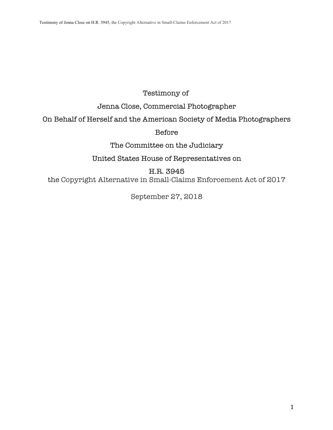## Testimony of

Jenna Close, Commercial Photographer

On Behalf of Herself and the American Society of Media Photographers

## Before

The Committee on the Judiciary

United States House of Representatives on

H.R. 3945 the Copyright Alternative in Small-Claims Enforcement Act of 2017

September 27, 2018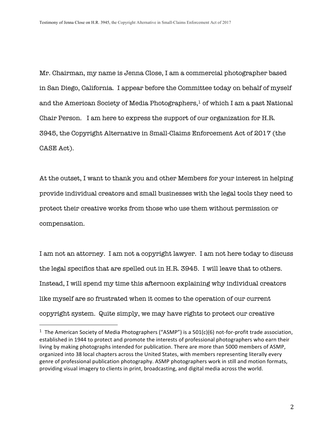Mr. Chairman, my name is Jenna Close, I am a commercial photographer based in San Diego, California. I appear before the Committee today on behalf of myself and the American Society of Media Photographers, $1$  of which I am a past National Chair Person. I am here to express the support of our organization for H.R. 3945, the Copyright Alternative in Small-Claims Enforcement Act of 2017 (the CASE Act).

At the outset, I want to thank you and other Members for your interest in helping provide individual creators and small businesses with the legal tools they need to protect their creative works from those who use them without permission or compensation.

I am not an attorney. I am not a copyright lawyer. I am not here today to discuss the legal specifics that are spelled out in H.R. 3945. I will leave that to others. Instead, I will spend my time this afternoon explaining why individual creators like myself are so frustrated when it comes to the operation of our current copyright system. Quite simply, we may have rights to protect our creative

<sup>&</sup>lt;sup>1</sup> The American Society of Media Photographers ("ASMP") is a 501(c)(6) not-for-profit trade association, established in 1944 to protect and promote the interests of professional photographers who earn their living by making photographs intended for publication. There are more than 5000 members of ASMP, organized into 38 local chapters across the United States, with members representing literally every genre of professional publication photography. ASMP photographers work in still and motion formats, providing visual imagery to clients in print, broadcasting, and digital media across the world.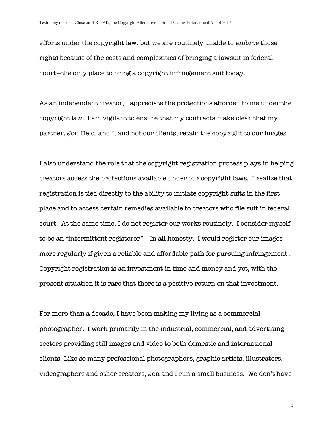efforts under the copyright law, but we are routinely unable to enforce those rights because of the costs and complexities of bringing a lawsuit in federal court—the only place to bring a copyright infringement suit today.

As an independent creator, I appreciate the protections afforded to me under the copyright law. I am vigilant to ensure that my contracts make clear that my partner, Jon Held, and I, and not our clients, retain the copyright to our images.

I also understand the role that the copyright registration process plays in helping creators access the protections available under our copyright laws. I realize that registration is tied directly to the ability to initiate copyright suits in the first place and to access certain remedies available to creators who file suit in federal court. At the same time, I do not register our works routinely. I consider myself to be an "intermittent registerer". In all honesty, I would register our images more regularly if given a reliable and affordable path for pursuing infringement . Copyright registration is an investment in time and money and yet, with the present situation it is rare that there is a positive return on that investment.

For more than a decade, I have been making my living as a commercial photographer. I work primarily in the industrial, commercial, and advertising sectors providing still images and video to both domestic and international clients. Like so many professional photographers, graphic artists, illustrators, videographers and other creators, Jon and I run a small business. We don't have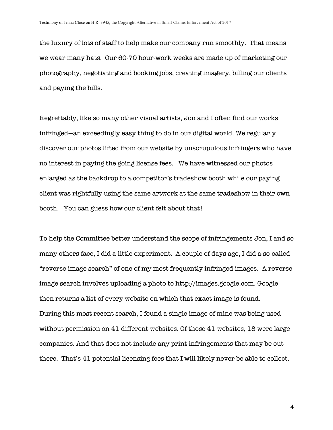the luxury of lots of staff to help make our company run smoothly. That means we wear many hats. Our 60-70 hour-work weeks are made up of marketing our photography, negotiating and booking jobs, creating imagery, billing our clients and paying the bills.

Regrettably, like so many other visual artists, Jon and I often find our works infringed—an exceedingly easy thing to do in our digital world. We regularly discover our photos lifted from our website by unscrupulous infringers who have no interest in paying the going license fees. We have witnessed our photos enlarged as the backdrop to a competitor's tradeshow booth while our paying client was rightfully using the same artwork at the same tradeshow in their own booth. You can guess how our client felt about that!

To help the Committee better understand the scope of infringements Jon, I and so many others face, I did a little experiment. A couple of days ago, I did a so-called "reverse image search" of one of my most frequently infringed images. A reverse image search involves uploading a photo to http://images.google.com. Google then returns a list of every website on which that exact image is found. During this most recent search, I found a single image of mine was being used without permission on 41 different websites. Of those 41 websites, 18 were large companies. And that does not include any print infringements that may be out there. That's 41 potential licensing fees that I will likely never be able to collect.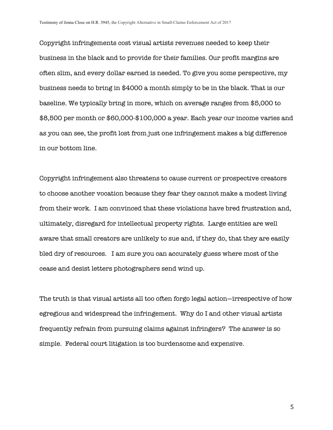Copyright infringements cost visual artists revenues needed to keep their business in the black and to provide for their families. Our profit margins are often slim, and every dollar earned is needed. To give you some perspective, my business needs to bring in \$4000 a month simply to be in the black. That is our baseline. We typically bring in more, which on average ranges from \$5,000 to \$8,500 per month or \$60,000-\$100,000 a year. Each year our income varies and as you can see, the profit lost from just one infringement makes a big difference in our bottom line.

Copyright infringement also threatens to cause current or prospective creators to choose another vocation because they fear they cannot make a modest living from their work. I am convinced that these violations have bred frustration and, ultimately, disregard for intellectual property rights. Large entities are well aware that small creators are unlikely to sue and, if they do, that they are easily bled dry of resources. I am sure you can accurately guess where most of the cease and desist letters photographers send wind up.

The truth is that visual artists all too often forgo legal action—irrespective of how egregious and widespread the infringement. Why do I and other visual artists frequently refrain from pursuing claims against infringers? The answer is so simple. Federal court litigation is too burdensome and expensive.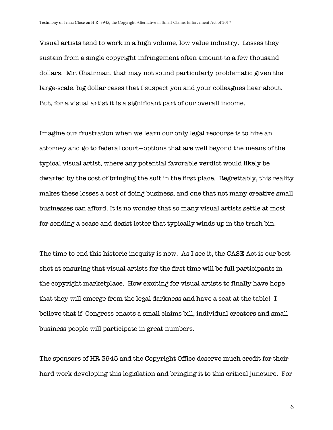Visual artists tend to work in a high volume, low value industry. Losses they sustain from a single copyright infringement often amount to a few thousand dollars. Mr. Chairman, that may not sound particularly problematic given the large-scale, big dollar cases that I suspect you and your colleagues hear about. But, for a visual artist it is a significant part of our overall income.

Imagine our frustration when we learn our only legal recourse is to hire an attorney and go to federal court—options that are well beyond the means of the typical visual artist, where any potential favorable verdict would likely be dwarfed by the cost of bringing the suit in the first place. Regrettably, this reality makes these losses a cost of doing business, and one that not many creative small businesses can afford. It is no wonder that so many visual artists settle at most for sending a cease and desist letter that typically winds up in the trash bin.

The time to end this historic inequity is now. As I see it, the CASE Act is our best shot at ensuring that visual artists for the first time will be full participants in the copyright marketplace. How exciting for visual artists to finally have hope that they will emerge from the legal darkness and have a seat at the table! I believe that if Congress enacts a small claims bill, individual creators and small business people will participate in great numbers.

The sponsors of HR 3945 and the Copyright Office deserve much credit for their hard work developing this legislation and bringing it to this critical juncture. For